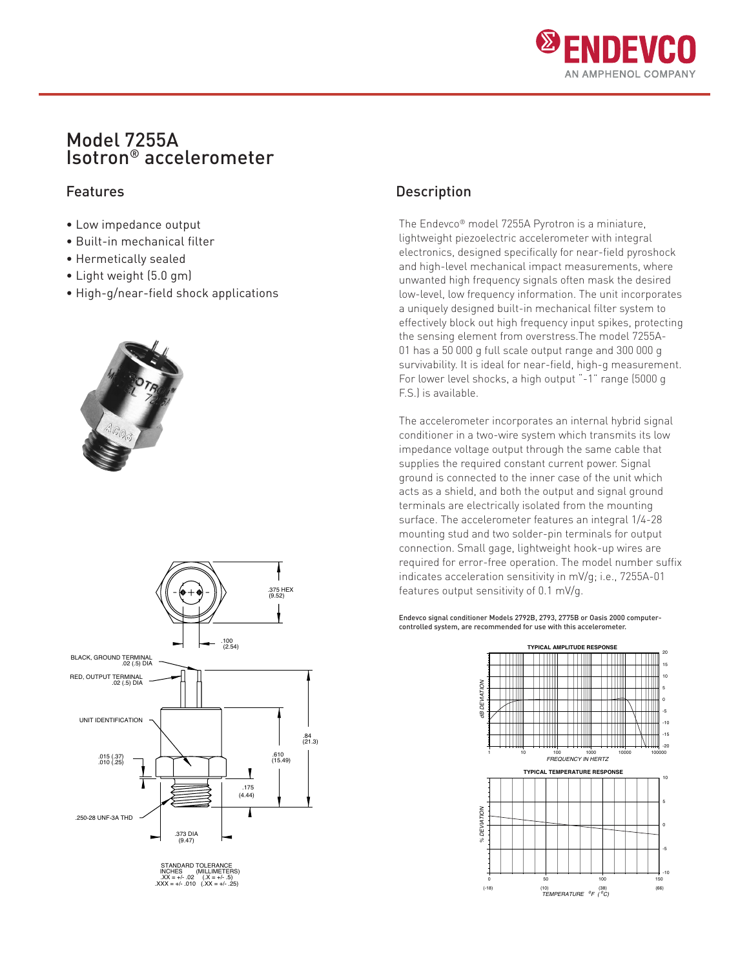

# Model 7255A Isotron® accelerometer

- Low impedance output
- Built-in mechanical filter
- Hermetically sealed
- Light weight (5.0 gm)
- High-g/near-field shock applications





## Features **Description**

The Endevco® model 7255A Pyrotron is a miniature, lightweight piezoelectric accelerometer with integral electronics, designed specifically for near-field pyroshock and high-level mechanical impact measurements, where unwanted high frequency signals often mask the desired low-level, low frequency information. The unit incorporates a uniquely designed built-in mechanical filter system to effectively block out high frequency input spikes, protecting the sensing element from overstress.The model 7255A-01 has a 50 000 g full scale output range and 300 000 g survivability. It is ideal for near-field, high-g measurement. For lower level shocks, a high output "-1" range (5000 g F.S.) is available.

The accelerometer incorporates an internal hybrid signal conditioner in a two-wire system which transmits its low impedance voltage output through the same cable that supplies the required constant current power. Signal ground is connected to the inner case of the unit which acts as a shield, and both the output and signal ground terminals are electrically isolated from the mounting surface. The accelerometer features an integral 1/4-28 mounting stud and two solder-pin terminals for output connection. Small gage, lightweight hook-up wires are required for error-free operation. The model number suffix indicates acceleration sensitivity in mV/g; i.e., 7255A-01 features output sensitivity of 0.1 mV/g.

Endevco signal conditioner Models 2792B, 2793, 2775B or Oasis 2000 computercontrolled system, are recommended for use with this accelerometer.

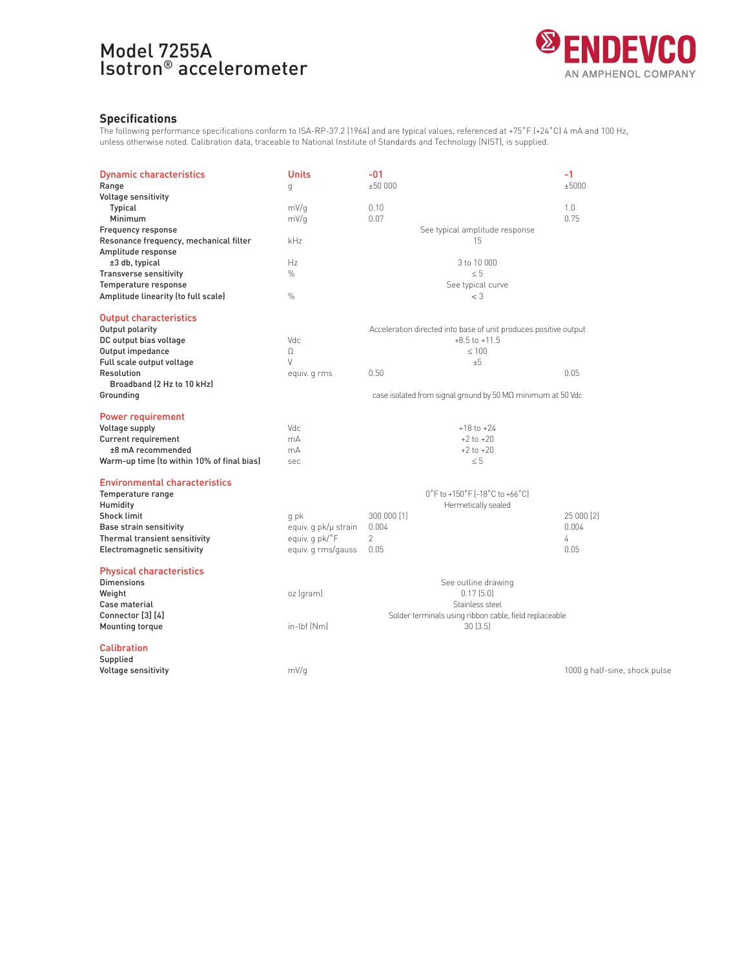# Model 7255A Isotron® accelerometer



## **Specifications**

The following performance specifications conform to ISA-RP-37.2 (1964) and are typical values, referenced at +75˚F (+24˚C) 4 mA and 100 Hz, unless otherwise noted. Calibration data, traceable to National Institute of Standards and Technology (NIST), is supplied.

| <b>Dynamic characteristics</b><br>Range    | Units<br>g           | $-01$<br>±50000                                                  | $-1$<br>±5000                 |
|--------------------------------------------|----------------------|------------------------------------------------------------------|-------------------------------|
| <b>Voltage sensitivity</b>                 |                      |                                                                  |                               |
| Typical                                    | mV/q                 | 0.10                                                             | 1.0                           |
| Minimum                                    | mV/q                 | 0.07                                                             | 0.75                          |
| Frequency response                         |                      | See typical amplitude response                                   |                               |
| Resonance frequency, mechanical filter     | kHz                  | 15                                                               |                               |
| Amplitude response                         |                      |                                                                  |                               |
| ±3 db, typical                             | Hz                   | 3 to 10 000                                                      |                               |
| <b>Transverse sensitivity</b>              | $\%$                 | $\leq 5$                                                         |                               |
| Temperature response                       |                      | See typical curve                                                |                               |
| Amplitude linearity (to full scale)        | $\%$                 | $<$ 3                                                            |                               |
| <b>Output characteristics</b>              |                      |                                                                  |                               |
| Output polarity                            |                      | Acceleration directed into base of unit produces positive output |                               |
| DC output bias voltage                     | Vdc                  | $+8.5$ to $+11.5$                                                |                               |
| Output impedance                           | $\Omega$             | < 100                                                            |                               |
| Full scale output voltage                  | V                    | ±5                                                               |                               |
| Resolution                                 | equiv. q rms         | 0.50                                                             | 0.05                          |
| Broadband (2 Hz to 10 kHz)                 |                      |                                                                  |                               |
| Grounding                                  |                      | case isolated from signal ground by 50 MQ minimum at 50 Vdc      |                               |
| Power requirement                          |                      |                                                                  |                               |
| Voltage supply                             | Vdc.                 | $+18$ to $+24$                                                   |                               |
| <b>Current requirement</b>                 | mA                   | $+2$ to $+20$                                                    |                               |
| ±8 mA recommended                          | mA                   | $+2$ to $+20$                                                    |                               |
| Warm-up time (to within 10% of final bias) | sec                  | $\leq 5$                                                         |                               |
|                                            |                      |                                                                  |                               |
| <b>Environmental characteristics</b>       |                      |                                                                  |                               |
| Temperature range                          |                      | 0°F to +150°F [-18°C to +66°C]                                   |                               |
| Humidity                                   |                      | Hermetically sealed                                              |                               |
| <b>Shock limit</b>                         | q pk                 | 300 000 [1]                                                      | 25 000 [2]                    |
| <b>Base strain sensitivity</b>             | equiv. g pk/µ strain | 0.004                                                            | 0.004                         |
| Thermal transient sensitivity              | equiv. q pk/°F       | $\overline{c}$                                                   | 4                             |
| Electromagnetic sensitivity                | equiv. q rms/gauss   | 0.05                                                             | 0.05                          |
| <b>Physical characteristics</b>            |                      |                                                                  |                               |
| <b>Dimensions</b>                          |                      | See outline drawing                                              |                               |
| Weight                                     | oz (gram)            | 0.17(5.0)                                                        |                               |
| Case material                              |                      | Stainless steel                                                  |                               |
| Connector [3] [4]                          |                      | Solder terminals using ribbon cable, field replaceable           |                               |
| <b>Mounting torque</b>                     | in-lbf [Nm]          | 30(3.5)                                                          |                               |
| <b>Calibration</b>                         |                      |                                                                  |                               |
| Supplied                                   |                      |                                                                  |                               |
| <b>Voltage sensitivity</b>                 | mV/q                 |                                                                  | 1000 g half-sine, shock pulse |
|                                            |                      |                                                                  |                               |